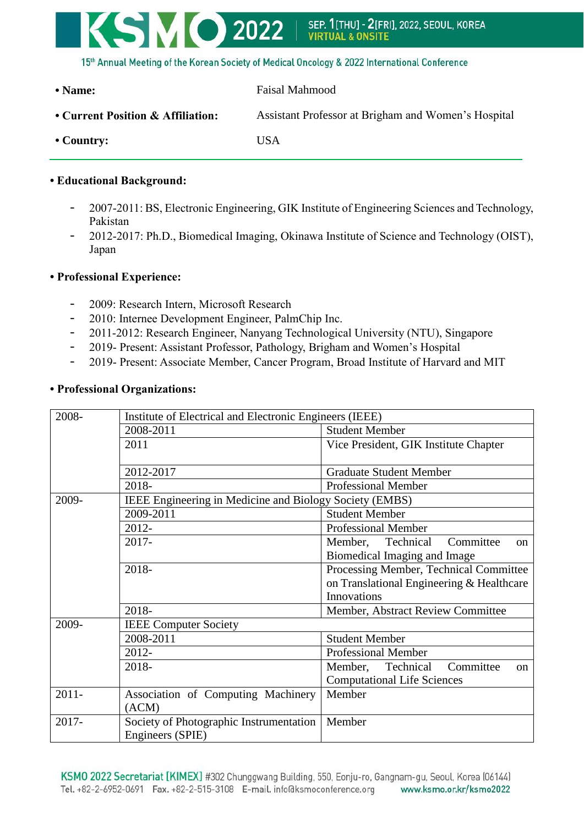

| • Name:                           | Faisal Mahmood                                      |  |  |  |
|-----------------------------------|-----------------------------------------------------|--|--|--|
| • Current Position & Affiliation: | Assistant Professor at Brigham and Women's Hospital |  |  |  |
| $\bullet$ Country:                | USA                                                 |  |  |  |

## **• Educational Background:**

- 2007-2011: BS, Electronic Engineering, GIK Institute of Engineering Sciences and Technology, Pakistan
- 2012-2017: Ph.D., Biomedical Imaging, Okinawa Institute of Science and Technology (OIST), Japan

## **• Professional Experience:**

- 2009: Research Intern, Microsoft Research
- 2010: Internee Development Engineer, PalmChip Inc.
- 2011-2012: Research Engineer, Nanyang Technological University (NTU), Singapore
- 2019- Present: Assistant Professor, Pathology, Brigham and Women's Hospital
- 2019- Present: Associate Member, Cancer Program, Broad Institute of Harvard and MIT

|  |  |  |  |  |  |  | • Professional Organizations: |
|--|--|--|--|--|--|--|-------------------------------|
|--|--|--|--|--|--|--|-------------------------------|

| 2008-    | Institute of Electrical and Electronic Engineers (IEEE) |                                           |  |  |  |  |
|----------|---------------------------------------------------------|-------------------------------------------|--|--|--|--|
|          | 2008-2011                                               | <b>Student Member</b>                     |  |  |  |  |
|          | 2011                                                    | Vice President, GIK Institute Chapter     |  |  |  |  |
|          |                                                         |                                           |  |  |  |  |
|          | 2012-2017                                               | <b>Graduate Student Member</b>            |  |  |  |  |
|          | <b>Professional Member</b>                              |                                           |  |  |  |  |
| 2009-    | IEEE Engineering in Medicine and Biology Society (EMBS) |                                           |  |  |  |  |
|          | 2009-2011                                               | <b>Student Member</b>                     |  |  |  |  |
|          | 2012-                                                   | Professional Member                       |  |  |  |  |
|          | 2017-                                                   | Committee<br>Member,<br>Technical<br>on   |  |  |  |  |
|          |                                                         | Biomedical Imaging and Image              |  |  |  |  |
|          | 2018-                                                   | Processing Member, Technical Committee    |  |  |  |  |
|          |                                                         | on Translational Engineering & Healthcare |  |  |  |  |
|          |                                                         | <b>Innovations</b>                        |  |  |  |  |
|          | 2018-                                                   | Member, Abstract Review Committee         |  |  |  |  |
| 2009-    | <b>IEEE Computer Society</b>                            |                                           |  |  |  |  |
|          | 2008-2011                                               | <b>Student Member</b>                     |  |  |  |  |
|          | 2012-                                                   | Professional Member                       |  |  |  |  |
|          | 2018-                                                   | Technical Committee<br>Member,<br>on      |  |  |  |  |
|          |                                                         | <b>Computational Life Sciences</b>        |  |  |  |  |
| $2011 -$ | Association of Computing Machinery                      | Member                                    |  |  |  |  |
|          | (ACM)                                                   |                                           |  |  |  |  |
| 2017-    | Society of Photographic Instrumentation                 | Member                                    |  |  |  |  |
|          | Engineers (SPIE)                                        |                                           |  |  |  |  |